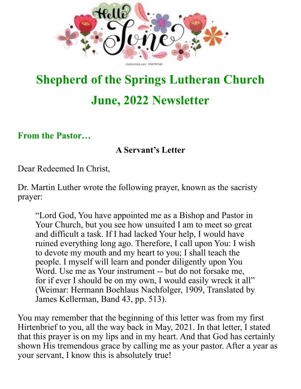

## **Shepherd of the Springs Lutheran Church June, 2022 Newsletter**

**From the Pastor…**

#### **A Servant's Letter**

Dear Redeemed In Christ,

Dr. Martin Luther wrote the following prayer, known as the sacristy prayer:

"Lord God, You have appointed me as a Bishop and Pastor in Your Church, but you see how unsuited I am to meet so great and difficult a task. If I had lacked Your help, I would have ruined everything long ago. Therefore, I call upon You: I wish to devote my mouth and my heart to you; I shall teach the people. I myself will learn and ponder diligently upon You Word. Use me as Your instrument -- but do not forsake me, for if ever I should be on my own, I would easily wreck it all" (Weimar: Hermann Boehlaus Nachfolger, 1909, Translated by James Kellerman, Band 43, pp. 513).

You may remember that the beginning of this letter was from my first Hirtenbrief to you, all the way back in May, 2021. In that letter, I stated that this prayer is on my lips and in my heart. And that God has certainly shown His tremendous grace by calling me as your pastor. After a year as your servant, I know this is absolutely true!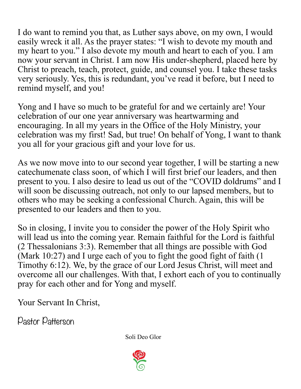I do want to remind you that, as Luther says above, on my own, I would easily wreck it all. As the prayer states: "I wish to devote my mouth and my heart to you." I also devote my mouth and heart to each of you. I am now your servant in Christ. I am now His under-shepherd, placed here by Christ to preach, teach, protect, guide, and counsel you. I take these tasks very seriously. Yes, this is redundant, you've read it before, but I need to remind myself, and you!

Yong and I have so much to be grateful for and we certainly are! Your celebration of our one year anniversary was heartwarming and encouraging. In all my years in the Office of the Holy Ministry, your celebration was my first! Sad, but true! On behalf of Yong, I want to thank you all for your gracious gift and your love for us.

As we now move into to our second year together, I will be starting a new catechumenate class soon, of which I will first brief our leaders, and then present to you. I also desire to lead us out of the "COVID doldrums" and I will soon be discussing outreach, not only to our lapsed members, but to others who may be seeking a confessional Church. Again, this will be presented to our leaders and then to you.

So in closing, I invite you to consider the power of the Holy Spirit who will lead us into the coming year. Remain faithful for the Lord is faithful (2 Thessalonians 3:3). Remember that all things are possible with God (Mark 10:27) and I urge each of you to fight the good fight of faith (1 Timothy 6:12). We, by the grace of our Lord Jesus Christ, will meet and overcome all our challenges. With that, I exhort each of you to continually pray for each other and for Yong and myself.

Your Servant In Christ,

Pastor Patterson

Soli Deo Glor

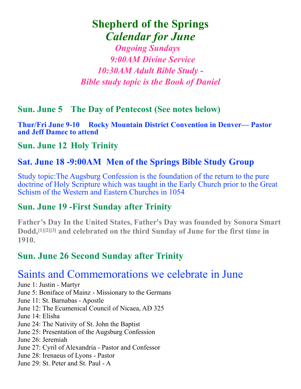## **Shepherd of the Springs**  *Calendar for June*

*Ongoing Sundays 9:00AM Divine Service 10:30AM Adult Bible Study - Bible study topic is the Book of Daniel*

#### **Sun. June 5 The Day of Pentecost (See notes below)**

**Thur/Fri June 9-10 Rocky Mountain District Convention in Denver— Pastor and Jeff Damec to attend**

#### **Sun. June 12 Holy Trinity**

#### **Sat. June 18 -9:00AM Men of the Springs Bible Study Group**

Study topic:The Augsburg Confession is the foundation of the return to the pure doctrine of Holy Scripture which was taught in the Early Church prior to the Great Schism of the Western and Eastern Churches in 1054

#### **Sun. June 19 -First Sunday after Trinity**

**Father's Day In the United States, Father's Day was founded by [Sonora Smart](https://en.wikipedia.org/wiki/Sonora_Smart_Dodd)  [Dodd](https://en.wikipedia.org/wiki/Sonora_Smart_Dodd)[,\[1\]](https://en.wikipedia.org/wiki/Father%27s_Day#cite_note-1)[\[2\]](https://en.wikipedia.org/wiki/Father%27s_Day#cite_note-2)[\[3\]](https://en.wikipedia.org/wiki/Father%27s_Day#cite_note-3) and celebrated on the third Sunday of June for the first time in 1910.**

#### **Sun. June 26 Second Sunday after Trinity**

### Saints and Commemorations we celebrate in June

June 1: Justin - Martyr

June 5: Boniface of Mainz - Missionary to the Germans

June 11: St. Barnabas - Apostle

June 12: The Ecumenical Council of Nicaea, AD 325

June 14: Elisha

- June 24: The Nativity of St. John the Baptist
- June 25: Presentation of the Augsburg Confession
- June 26: Jeremiah
- June 27: Cyril of Alexandria Pastor and Confessor
- June 28: Irenaeus of Lyons Pastor
- June 29: St. Peter and St. Paul A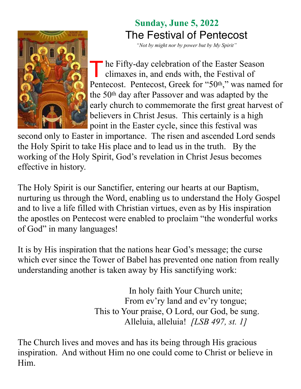

## **Sunday, June 5, 2022** The Festival of Pentecost

*"Not by might nor by power but by My Spirit"*

The Fifty-day celebration of the Easter Season climaxes in, and ends with, the Festival of Pentecost. Pentecost, Greek for "50<sup>th</sup>," was named for the 50th day after Passover and was adapted by the early church to commemorate the first great harvest of believers in Christ Jesus. This certainly is a high point in the Easter cycle, since this festival was

second only to Easter in importance. The risen and ascended Lord sends the Holy Spirit to take His place and to lead us in the truth. By the working of the Holy Spirit, God's revelation in Christ Jesus becomes effective in history.

The Holy Spirit is our Sanctifier, entering our hearts at our Baptism, nurturing us through the Word, enabling us to understand the Holy Gospel and to live a life filled with Christian virtues, even as by His inspiration the apostles on Pentecost were enabled to proclaim "the wonderful works of God" in many languages!

It is by His inspiration that the nations hear God's message; the curse which ever since the Tower of Babel has prevented one nation from really understanding another is taken away by His sanctifying work:

> In holy faith Your Church unite; From ev'ry land and ev'ry tongue; This to Your praise, O Lord, our God, be sung. Alleluia, alleluia! *[LSB 497, st. 1]*

The Church lives and moves and has its being through His gracious inspiration. And without Him no one could come to Christ or believe in Him.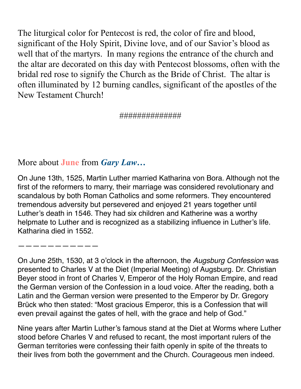The liturgical color for Pentecost is red, the color of fire and blood, significant of the Holy Spirit, Divine love, and of our Savior's blood as well that of the martyrs. In many regions the entrance of the church and the altar are decorated on this day with Pentecost blossoms, often with the bridal red rose to signify the Church as the Bride of Christ. The altar is often illuminated by 12 burning candles, significant of the apostles of the New Testament Church!

#### ##############

More about **June** from *Gary Law…*

On June 13th, 1525, Martin Luther married Katharina von Bora. Although not the first of the reformers to marry, their marriage was considered revolutionary and scandalous by both Roman Catholics and some reformers. They encountered tremendous adversity but persevered and enjoyed 21 years together until Luther's death in 1546. They had six children and Katherine was a worthy helpmate to Luther and is recognized as a stabilizing influence in Luther's life. Katharina died in 1552.

———————————

On June 25th, 1530, at 3 o'clock in the afternoon, the *Augsburg Confession* was presented to Charles V at the Diet (Imperial Meeting) of Augsburg. Dr. Christian Beyer stood in front of Charles V, Emperor of the Holy Roman Empire, and read the German version of the Confession in a loud voice. After the reading, both a Latin and the German version were presented to the Emperor by Dr. Gregory Brück who then stated: "Most gracious Emperor, this is a Confession that will even prevail against the gates of hell, with the grace and help of God."

Nine years after Martin Luther's famous stand at the Diet at Worms where Luther stood before Charles V and refused to recant, the most important rulers of the German territories were confessing their faith openly in spite of the threats to their lives from both the government and the Church. Courageous men indeed.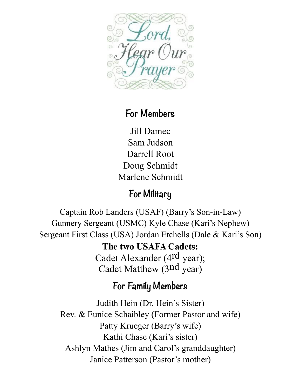

## **For Members**

Jill Damec Sam Judson Darrell Root Doug Schmidt Marlene Schmidt

## **For Military**

Captain Rob Landers (USAF) (Barry's Son-in-Law) Gunnery Sergeant (USMC) Kyle Chase (Kari's Nephew) Sergeant First Class (USA) Jordan Etchells (Dale & Kari's Son)

> **The two USAFA Cadets:** Cadet Alexander (4<sup>rd</sup> year); Cadet Matthew (3nd year)

## **For Family Members**

Judith Hein (Dr. Hein's Sister) Rev. & Eunice Schaibley (Former Pastor and wife) Patty Krueger (Barry's wife) Kathi Chase (Kari's sister) Ashlyn Mathes (Jim and Carol's granddaughter) Janice Patterson (Pastor's mother)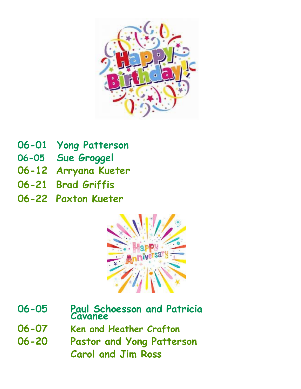

- **06-01 Yong Patterson**
- **06-05 Sue Groggel**
- **06-12 Arryana Kueter**
- **06-21 Brad Griffis**
- **06-22 Paxton Kueter**



- **06-05 Paul Schoesson and Patricia Cavanee**
- **06-07 Ken and Heather Crafton**
- **06-20 Pastor and Yong Patterson Carol and Jim Ross**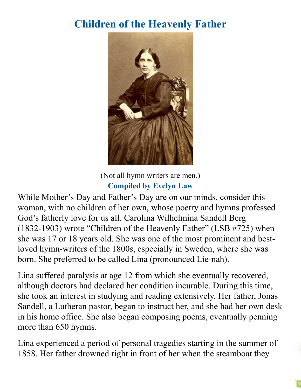## **Children of the Heavenly Father**



(Not all hymn writers are men.) **Compiled by Evelyn Law**

While Mother's Day and Father's Day are on our minds, consider this woman, with no children of her own, whose poetry and hymns professed God's fatherly love for us all. Carolina Wilhelmina Sandell Berg (1832-1903) wrote "Children of the Heavenly Father" (LSB #725) when she was 17 or 18 years old. She was one of the most prominent and bestloved hymn-writers of the 1800s, especially in Sweden, where she was born. She preferred to be called Lina (pronounced Lie-nah).

Lina suffered paralysis at age 12 from which she eventually recovered, although doctors had declared her condition incurable. During this time, she took an interest in studying and reading extensively. Her father, Jonas Sandell, a Lutheran pastor, began to instruct her, and she had her own desk in his home office. She also began composing poems, eventually penning more than 650 hymns.

Lina experienced a period of personal tragedies starting in the summer of 1858. Her father drowned right in front of her when the steamboat they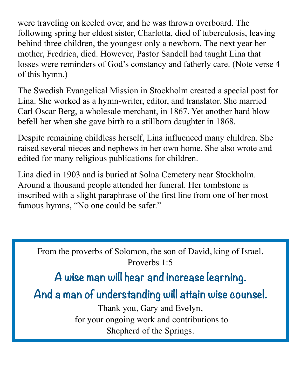were traveling on keeled over, and he was thrown overboard. The following spring her eldest sister, Charlotta, died of tuberculosis, leaving behind three children, the youngest only a newborn. The next year her mother, Fredrica, died. However, Pastor Sandell had taught Lina that losses were reminders of God's constancy and fatherly care. (Note verse 4 of this hymn.)

The Swedish Evangelical Mission in Stockholm created a special post for Lina. She worked as a hymn-writer, editor, and translator. She married Carl Oscar Berg, a wholesale merchant, in 1867. Yet another hard blow befell her when she gave birth to a stillborn daughter in 1868.

Despite remaining childless herself, Lina influenced many children. She raised several nieces and nephews in her own home. She also wrote and edited for many religious publications for children.

Lina died in 1903 and is buried at Solna Cemetery near Stockholm. Around a thousand people attended her funeral. Her tombstone is inscribed with a slight paraphrase of the first line from one of her most famous hymns, "No one could be safer."

From the proverbs of Solomon, the son of David, king of Israel. Proverbs 1:5

## **A wise man will hear and increase learning.**

**And a man of understanding will attain wise counsel.** 

Thank you, Gary and Evelyn, for your ongoing work and contributions to Shepherd of the Springs.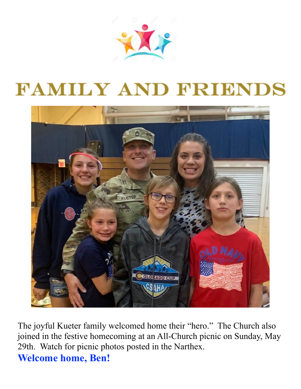

# **FAMILY AND FRIENDS**



The joyful Kueter family welcomed home their "hero." The Church also joined in the festive homecoming at an All-Church picnic on Sunday, May 29th. Watch for picnic photos posted in the Narthex. **Welcome home, Ben!**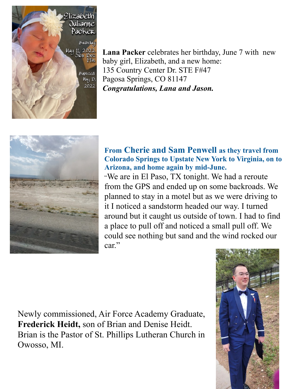

**Lana Packer** celebrates her birthday, June 7 with new baby girl, Elizabeth, and a new home: 135 Country Center Dr. STE F#47 Pagosa Springs, CO 81147 *Congratulations, Lana and Jason.*



#### **From Cherie and Sam Penwell as they travel from Colorado Springs to Upstate New York to Virginia, on to Arizona, and home again by mid-June.**

"We are in El Paso, TX tonight. We had a reroute from the GPS and ended up on some backroads. We planned to stay in a motel but as we were driving to it I noticed a sandstorm headed our way. I turned around but it caught us outside of town. I had to find a place to pull off and noticed a small pull off. We could see nothing but sand and the wind rocked our car."

Newly commissioned, Air Force Academy Graduate, **Frederick Heidt,** son of Brian and Denise Heidt. Brian is the Pastor of St. Phillips Lutheran Church in Owosso, MI.